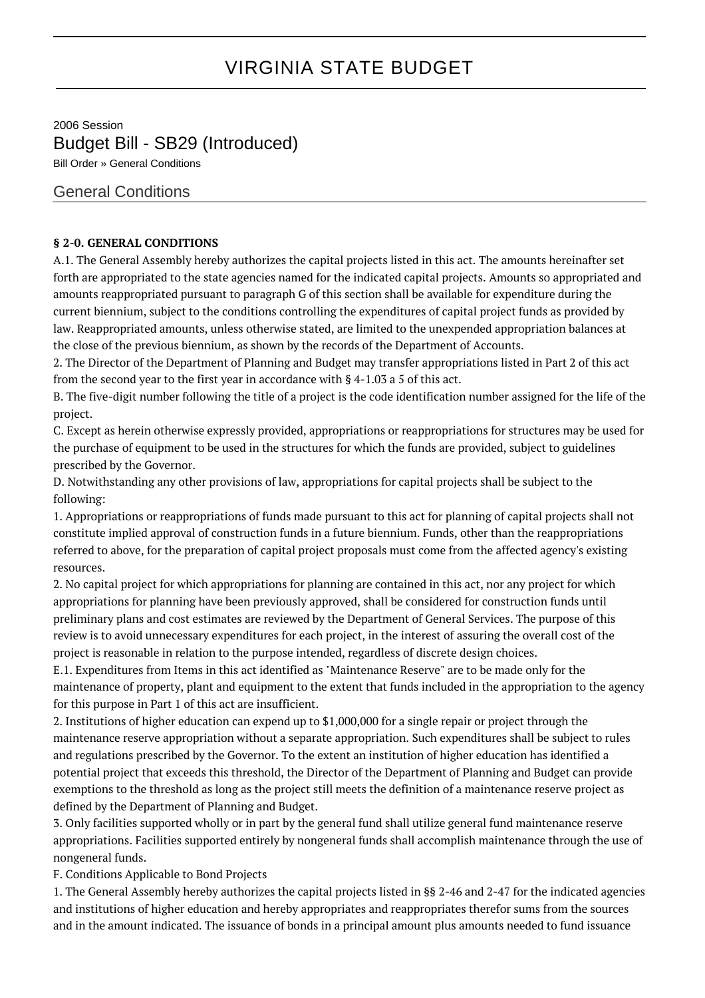## VIRGINIA STATE BUDGET

2006 Session Budget Bill - SB29 (Introduced) Bill Order » General Conditions

General Conditions

## **§ 2-0. GENERAL CONDITIONS**

A.1. The General Assembly hereby authorizes the capital projects listed in this act. The amounts hereinafter set forth are appropriated to the state agencies named for the indicated capital projects. Amounts so appropriated and amounts reappropriated pursuant to paragraph G of this section shall be available for expenditure during the current biennium, subject to the conditions controlling the expenditures of capital project funds as provided by law. Reappropriated amounts, unless otherwise stated, are limited to the unexpended appropriation balances at the close of the previous biennium, as shown by the records of the Department of Accounts.

2. The Director of the Department of Planning and Budget may transfer appropriations listed in Part 2 of this act from the second year to the first year in accordance with § 4-1.03 a 5 of this act.

B. The five-digit number following the title of a project is the code identification number assigned for the life of the project.

C. Except as herein otherwise expressly provided, appropriations or reappropriations for structures may be used for the purchase of equipment to be used in the structures for which the funds are provided, subject to guidelines prescribed by the Governor.

D. Notwithstanding any other provisions of law, appropriations for capital projects shall be subject to the following:

1. Appropriations or reappropriations of funds made pursuant to this act for planning of capital projects shall not constitute implied approval of construction funds in a future biennium. Funds, other than the reappropriations referred to above, for the preparation of capital project proposals must come from the affected agency's existing resources.

2. No capital project for which appropriations for planning are contained in this act, nor any project for which appropriations for planning have been previously approved, shall be considered for construction funds until preliminary plans and cost estimates are reviewed by the Department of General Services. The purpose of this review is to avoid unnecessary expenditures for each project, in the interest of assuring the overall cost of the project is reasonable in relation to the purpose intended, regardless of discrete design choices.

E.1. Expenditures from Items in this act identified as "Maintenance Reserve" are to be made only for the maintenance of property, plant and equipment to the extent that funds included in the appropriation to the agency for this purpose in Part 1 of this act are insufficient.

2. Institutions of higher education can expend up to \$1,000,000 for a single repair or project through the maintenance reserve appropriation without a separate appropriation. Such expenditures shall be subject to rules and regulations prescribed by the Governor. To the extent an institution of higher education has identified a potential project that exceeds this threshold, the Director of the Department of Planning and Budget can provide exemptions to the threshold as long as the project still meets the definition of a maintenance reserve project as defined by the Department of Planning and Budget.

3. Only facilities supported wholly or in part by the general fund shall utilize general fund maintenance reserve appropriations. Facilities supported entirely by nongeneral funds shall accomplish maintenance through the use of nongeneral funds.

F. Conditions Applicable to Bond Projects

1. The General Assembly hereby authorizes the capital projects listed in §§ 2-46 and 2-47 for the indicated agencies and institutions of higher education and hereby appropriates and reappropriates therefor sums from the sources and in the amount indicated. The issuance of bonds in a principal amount plus amounts needed to fund issuance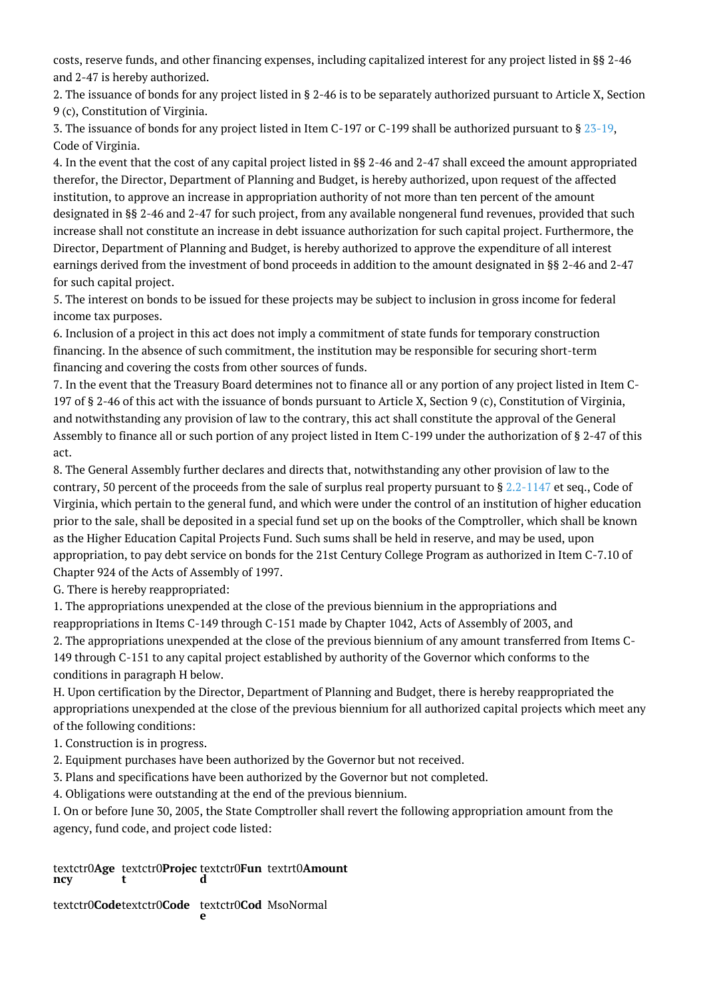costs, reserve funds, and other financing expenses, including capitalized interest for any project listed in §§ 2-46 and 2-47 is hereby authorized.

2. The issuance of bonds for any project listed in § 2-46 is to be separately authorized pursuant to Article X, Section 9 (c), Constitution of Virginia.

3. The issuance of bonds for any project listed in Item C-197 or C-199 shall be authorized pursuant to § [23-19,](http://law.lis.virginia.gov/vacode/23-19/) Code of Virginia.

4. In the event that the cost of any capital project listed in §§ 2-46 and 2-47 shall exceed the amount appropriated therefor, the Director, Department of Planning and Budget, is hereby authorized, upon request of the affected institution, to approve an increase in appropriation authority of not more than ten percent of the amount designated in §§ 2-46 and 2-47 for such project, from any available nongeneral fund revenues, provided that such increase shall not constitute an increase in debt issuance authorization for such capital project. Furthermore, the Director, Department of Planning and Budget, is hereby authorized to approve the expenditure of all interest earnings derived from the investment of bond proceeds in addition to the amount designated in §§ 2-46 and 2-47 for such capital project.

5. The interest on bonds to be issued for these projects may be subject to inclusion in gross income for federal income tax purposes.

6. Inclusion of a project in this act does not imply a commitment of state funds for temporary construction financing. In the absence of such commitment, the institution may be responsible for securing short-term financing and covering the costs from other sources of funds.

7. In the event that the Treasury Board determines not to finance all or any portion of any project listed in Item C-197 of § 2-46 of this act with the issuance of bonds pursuant to Article X, Section 9 (c), Constitution of Virginia, and notwithstanding any provision of law to the contrary, this act shall constitute the approval of the General Assembly to finance all or such portion of any project listed in Item C-199 under the authorization of § 2-47 of this act.

8. The General Assembly further declares and directs that, notwithstanding any other provision of law to the contrary, 50 percent of the proceeds from the sale of surplus real property pursuant to  $\S 2.2$ -1147 et seq., Code of Virginia, which pertain to the general fund, and which were under the control of an institution of higher education prior to the sale, shall be deposited in a special fund set up on the books of the Comptroller, which shall be known as the Higher Education Capital Projects Fund. Such sums shall be held in reserve, and may be used, upon appropriation, to pay debt service on bonds for the 21st Century College Program as authorized in Item C-7.10 of Chapter 924 of the Acts of Assembly of 1997.

G. There is hereby reappropriated:

1. The appropriations unexpended at the close of the previous biennium in the appropriations and reappropriations in Items C-149 through C-151 made by Chapter 1042, Acts of Assembly of 2003, and

2. The appropriations unexpended at the close of the previous biennium of any amount transferred from Items C-149 through C-151 to any capital project established by authority of the Governor which conforms to the conditions in paragraph H below.

H. Upon certification by the Director, Department of Planning and Budget, there is hereby reappropriated the appropriations unexpended at the close of the previous biennium for all authorized capital projects which meet any of the following conditions:

- 1. Construction is in progress.
- 2. Equipment purchases have been authorized by the Governor but not received.
- 3. Plans and specifications have been authorized by the Governor but not completed.
- 4. Obligations were outstanding at the end of the previous biennium.

I. On or before June 30, 2005, the State Comptroller shall revert the following appropriation amount from the agency, fund code, and project code listed:

textctr0**Age** textctr0**Projec ncy t** textctr0**Fun d** textrt0**Amount**

textctr0**Code**textctr0**Code** textctr0**Cod e** MsoNormal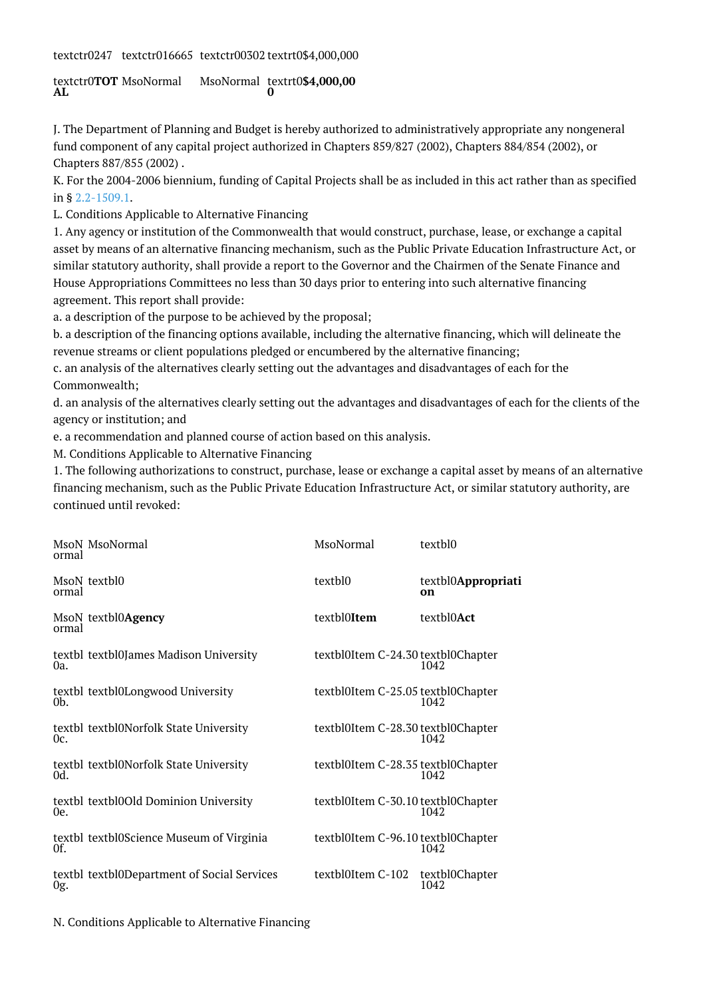textctr0247 textctr016665 textctr00302 textrt0\$4,000,000

textctr0**TOT AL** MsoNormal MsoNormal textrt0**\$4,000,00 0**

J. The Department of Planning and Budget is hereby authorized to administratively appropriate any nongeneral fund component of any capital project authorized in Chapters 859/827 (2002), Chapters 884/854 (2002), or Chapters 887/855 (2002) .

K. For the 2004-2006 biennium, funding of Capital Projects shall be as included in this act rather than as specified in § [2.2-1509.1.](http://law.lis.virginia.gov/vacode/2.2-1509.1/)

L. Conditions Applicable to Alternative Financing

1. Any agency or institution of the Commonwealth that would construct, purchase, lease, or exchange a capital asset by means of an alternative financing mechanism, such as the Public Private Education Infrastructure Act, or similar statutory authority, shall provide a report to the Governor and the Chairmen of the Senate Finance and House Appropriations Committees no less than 30 days prior to entering into such alternative financing agreement. This report shall provide:

a. a description of the purpose to be achieved by the proposal;

b. a description of the financing options available, including the alternative financing, which will delineate the revenue streams or client populations pledged or encumbered by the alternative financing;

c. an analysis of the alternatives clearly setting out the advantages and disadvantages of each for the Commonwealth;

d. an analysis of the alternatives clearly setting out the advantages and disadvantages of each for the clients of the agency or institution; and

e. a recommendation and planned course of action based on this analysis.

M. Conditions Applicable to Alternative Financing

1. The following authorizations to construct, purchase, lease or exchange a capital asset by means of an alternative financing mechanism, such as the Public Private Education Infrastructure Act, or similar statutory authority, are continued until revoked:

| MsoN MsoNormal<br>ormal                             | MsoNormal   | textbl0                                    |
|-----------------------------------------------------|-------------|--------------------------------------------|
| MsoN textbl0<br>ormal                               | textbl0     | textbl0Appropriati<br>on                   |
| MsoN textbl0Agency<br>ormal                         | textbl0Item | textbl0Act                                 |
| textbl textbl0James Madison University<br>Oa.       |             | textbl0Item C-24.30 textbl0Chapter<br>1042 |
| textbl textbl0Longwood University<br>0 <sub>b</sub> |             | textbl0Item C-25.05 textbl0Chapter<br>1042 |
| textbl textbl0Norfolk State University<br>Oc.       |             | textbl0Item C-28.30 textbl0Chapter<br>1042 |
| textbl textbl0Norfolk State University<br>Od.       |             | textbl0Item C-28.35 textbl0Chapter<br>1042 |
| textbl textbl0Old Dominion University<br>0e.        |             | textbl0Item C-30.10 textbl0Chapter<br>1042 |
| textbl textbl0Science Museum of Virginia<br>Of.     |             | textbl0Item C-96.10 textbl0Chapter<br>1042 |
| textbl textbl0Department of Social Services<br>0g.  |             | textbl0Item C-102 textbl0Chapter<br>1042   |

N. Conditions Applicable to Alternative Financing